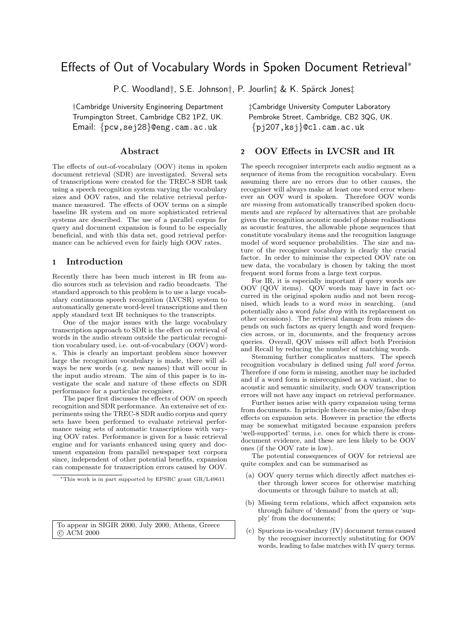# Effects of Out of Vocabulary Words in Spoken Document Retrieval<sup>∗</sup>

P.C. Woodland†, S.E. Johnson†, P. Jourlin‡ & K. Spärck Jones‡

†Cambridge University Engineering Department ‡Cambridge University Computer Laboratory Trumpington Street, Cambridge CB2 1PZ, UK. Email: {pcw,sej28}@eng.cam.ac.uk {pj207,ksj}@cl.cam.ac.uk

## Abstract

The effects of out-of-vocabulary (OOV) items in spoken document retrieval (SDR) are investigated. Several sets of transcriptions were created for the TREC-8 SDR task using a speech recognition system varying the vocabulary sizes and OOV rates, and the relative retrieval performance measured. The effects of OOV terms on a simple baseline IR system and on more sophisticated retrieval systems are described. The use of a parallel corpus for query and document expansion is found to be especially beneficial, and with this data set, good retrieval performance can be achieved even for fairly high OOV rates.

## 1 Introduction

Recently there has been much interest in IR from audio sources such as television and radio broadcasts. The standard approach to this problem is to use a large vocabulary continuous speech recognition (LVCSR) system to automatically generate word-level transcriptions and then apply standard text IR techniques to the transcripts.

One of the major issues with the large vocabulary transcription approach to SDR is the effect on retrieval of words in the audio stream outside the particular recognition vocabulary used, i.e. out-of-vocabulary (OOV) words. This is clearly an important problem since however large the recognition vocabulary is made, there will always be new words (e.g. new names) that will occur in the input audio stream. The aim of this paper is to investigate the scale and nature of these effects on SDR performance for a particular recogniser.

The paper first discusses the effects of OOV on speech recognition and SDR performance. An extensive set of experiments using the TREC-8 SDR audio corpus and query sets have been performed to evaluate retrieval performance using sets of automatic transcriptions with varying OOV rates. Performance is given for a basic retrieval engine and for variants enhanced using query and document expansion from parallel newspaper text corpora since, independent of other potential benefits, expansion can compensate for transcription errors caused by OOV.

# 2 OOV Effects in LVCSR and IR

The speech recogniser interprets each audio segment as a sequence of items from the recognition vocabulary. Even assuming there are no errors due to other causes, the recogniser will always make at least one word error whenever an OOV word is spoken. Therefore OOV words are missing from automatically transcribed spoken documents and are replaced by alternatives that are probable given the recognition acoustic model of phone realisations as acoustic features, the allowable phone sequences that constitute vocabulary items and the recognition language model of word sequence probabilities. The size and nature of the recogniser vocabulary is clearly the crucial factor. In order to minimise the expected OOV rate on new data, the vocabulary is chosen by taking the most frequent word forms from a large text corpus.

For IR, it is especially important if query words are OOV (QOV items). QOV words may have in fact occurred in the original spoken audio and not been recognised, which leads to a word miss in searching. (and potentially also a word false drop with its replacement on other occasions). The retrieval damage from misses depends on such factors as query length and word frequencies across, or in, documents, and the frequency across queries. Overall, QOV misses will affect both Precision and Recall by reducing the number of matching words.

Stemming further complicates matters. The speech recognition vocabulary is defined using full word forms. Therefore if one form is missing, another may be included and if a word form is misrecognised as a variant, due to acoustic and semantic similarity, such OOV transcription errors will not have any impact on retrieval performance.

Further issues arise with query expansion using terms from documents. In principle there can be miss/false drop effects on expansion sets. However in practice the effects may be somewhat mitigated because expansion prefers 'well-supported' terms, i.e. ones for which there is crossdocument evidence, and these are less likely to be OOV ones (if the OOV rate is low).

The potential consequences of OOV for retrieval are quite complex and can be summarised as

- (a) OOV query terms which directly affect matches either through lower scores for otherwise matching documents or through failure to match at all;
- (b) Missing term relations, which affect expansion sets through failure of 'demand' from the query or 'supply' from the documents;
- (c) Spurious in-vocabulary (IV) document terms caused by the recogniser incorrectly substituting for OOV words, leading to false matches with IV query terms.

<sup>∗</sup>This work is in part supported by EPSRC grant GR/L49611

To appear in SIGIR 2000, July 2000, Athens, Greece c ACM 2000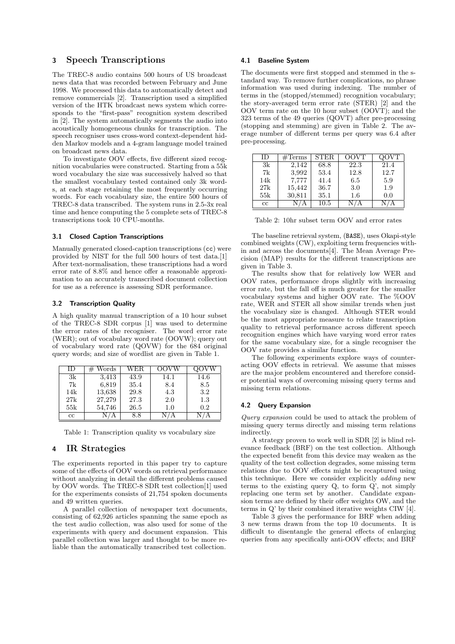# 3 Speech Transcriptions

The TREC-8 audio contains 500 hours of US broadcast news data that was recorded between February and June 1998. We processed this data to automatically detect and remove commercials [2]. Transcription used a simplified version of the HTK broadcast news system which corresponds to the "first-pass" recognition system described in [2]. The system automatically segments the audio into acoustically homogeneous chunks for transcription. The speech recogniser uses cross-word context-dependent hidden Markov models and a 4-gram language model trained on broadcast news data.

To investigate OOV effects, five different sized recognition vocabularies were constructed. Starting from a 55k word vocabulary the size was successively halved so that the smallest vocabulary tested contained only 3k words, at each stage retaining the most frequently occurring words. For each vocabulary size, the entire 500 hours of TREC-8 data transcribed. The system runs in 2.5-3x real time and hence computing the 5 complete sets of TREC-8 transcriptions took 10 CPU-months.

#### 3.1 Closed Caption Transcriptions

Manually generated closed-caption transcriptions (cc) were provided by NIST for the full 500 hours of test data.[1] After text-normalisation, these transcriptions had a word error rate of 8.8% and hence offer a reasonable approximation to an accurately transcribed document collection for use as a reference is assessing SDR performance.

#### 3.2 Transcription Quality

A high quality manual transcription of a 10 hour subset of the TREC-8 SDR corpus [1] was used to determine the error rates of the recogniser. The word error rate (WER); out of vocabulary word rate (OOVW); query out of vocabulary word rate (QOVW) for the 684 original query words; and size of wordlist are given in Table 1.

| ΙD          | Words<br># | WER  | OOVW |      |
|-------------|------------|------|------|------|
| 3k          | 3.413      | 43.9 | 14.1 | 14.6 |
| 7k          | 6,819      | 35.4 | 8.4  | 8.5  |
| 14k         | 13,638     | 29.8 | 4.3  | 3.2  |
| 27k         | 27,279     | 27.3 | 2.0  | 1.3  |
| 55k         | 54,746     | 26.5 | 1.0  | 0.2  |
| $_{\rm cc}$ |            | 8.8  |      |      |

Table 1: Transcription quality vs vocabulary size

# 4 IR Strategies

The experiments reported in this paper try to capture some of the effects of OOV words on retrieval performance without analyzing in detail the different problems caused by OOV words. The TREC-8 SDR test collection[1] used for the experiments consists of 21,754 spoken documents and 49 written queries.

A parallel collection of newspaper text documents, consisting of 62,926 articles spanning the same epoch as the test audio collection, was also used for some of the experiments with query and document expansion. This parallel collection was larger and thought to be more reliable than the automatically transcribed test collection.

## 4.1 Baseline System

The documents were first stopped and stemmed in the standard way. To remove further complications, no phrase information was used during indexing. The number of terms in the (stopped/stemmed) recognition vocabulary; the story-averaged term error rate (STER) [2] and the OOV term rate on the 10 hour subset (OOVT); and the 323 terms of the 49 queries (QOVT) after pre-processing (stopping and stemming) are given in Table 2. The average number of different terms per query was 6.4 after pre-processing.

| ΙD          | $\#\mathrm{Terms}$ | <b>STER</b> | <b>OOVT</b> | QOVT |
|-------------|--------------------|-------------|-------------|------|
| 3k          | 2,142              | 68.8        | 22.3        | 21.4 |
| 7k          | 3,992              | 53.4        | 12.8        | 12.7 |
| 14k         | 7,777              | 41.4        | 6.5         | 5.9  |
| 27k         | 15,442             | 36.7        | 3.0         | 1.9  |
| 55k         | 30,811             | 35.1        | 1.6         | 0.0  |
| $_{\rm cc}$ |                    | 10.5        |             |      |

Table 2: 10hr subset term OOV and error rates

The baseline retrieval system, (BASE), uses Okapi-style combined weights (CW), exploiting term frequencies within and across the documents[4]. The Mean Average Precision (MAP) results for the different transcriptions are given in Table 3.

The results show that for relatively low WER and OOV rates, performance drops slightly with increasing error rate, but the fall off is much greater for the smaller vocabulary systems and higher OOV rate. The %OOV rate, WER and STER all show similar trends when just the vocabulary size is changed. Although STER would be the most appropriate measure to relate transcription quality to retrieval performance across different speech recognition engines which have varying word error rates for the same vocabulary size, for a single recogniser the OOV rate provides a similar function.

The following experiments explore ways of counteracting OOV effects in retrieval. We assume that misses are the major problem encountered and therefore consider potential ways of overcoming missing query terms and missing term relations.

## 4.2 Query Expansion

Query expansion could be used to attack the problem of missing query terms directly and missing term relations indirectly.

A strategy proven to work well in SDR [2] is blind relevance feedback (BRF) on the test collection. Although the expected benefit from this device may weaken as the quality of the test collection degrades, some missing term relations due to OOV effects might be recaptured using this technique. Here we consider explicitly *adding* new terms to the existing query Q, to form Q', not simply replacing one term set by another. Candidate expansion terms are defined by their offer weights OW, and the terms in Q' by their combined iterative weights CIW [4].

Table 3 gives the performance for BRF when adding 3 new terms drawn from the top 10 documents. It is difficult to disentangle the general effects of enlarging queries from any specifically anti-OOV effects; and BRF